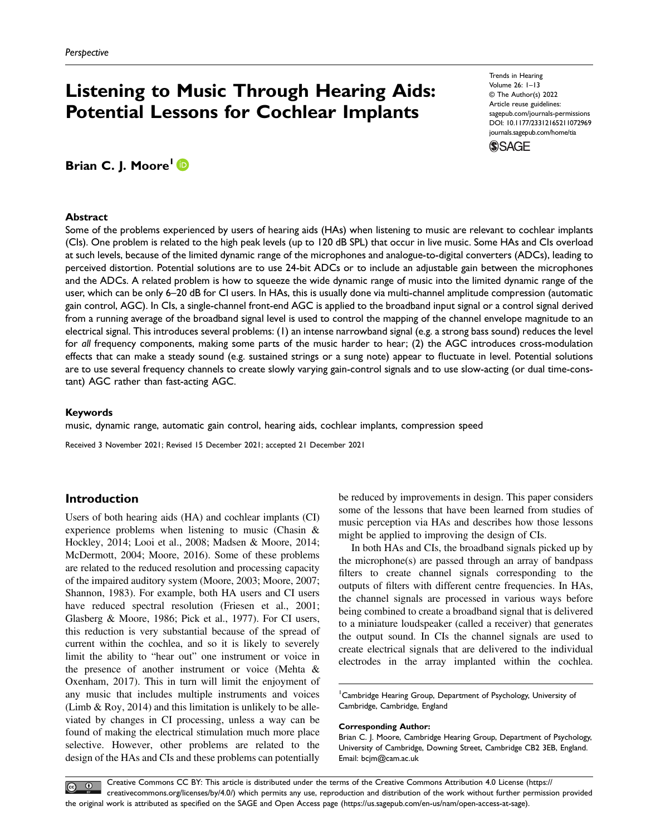# Listening to Music Through Hearing Aids: Potential Lessons for Cochlear Implants

Trends in Hearing Volume 26: 1–13 © The Author(s) 2022 Article reuse guidelines: [sagepub.com/journals-permissions](https://us.sagepub.com/en-us/journals-permissions) DOI: 10.1177/23312165211072969 [journals.sagepub.com/home/tia](https://journals.sagepub.com/home/tia)



# Brian C. J. Moore<sup>1</sup><sup>D</sup>

#### Abstract

Some of the problems experienced by users of hearing aids (HAs) when listening to music are relevant to cochlear implants (CIs). One problem is related to the high peak levels (up to 120 dB SPL) that occur in live music. Some HAs and CIs overload at such levels, because of the limited dynamic range of the microphones and analogue-to-digital converters (ADCs), leading to perceived distortion. Potential solutions are to use 24-bit ADCs or to include an adjustable gain between the microphones and the ADCs. A related problem is how to squeeze the wide dynamic range of music into the limited dynamic range of the user, which can be only 6–20 dB for CI users. In HAs, this is usually done via multi-channel amplitude compression (automatic gain control, AGC). In CIs, a single-channel front-end AGC is applied to the broadband input signal or a control signal derived from a running average of the broadband signal level is used to control the mapping of the channel envelope magnitude to an electrical signal. This introduces several problems: (1) an intense narrowband signal (e.g. a strong bass sound) reduces the level for all frequency components, making some parts of the music harder to hear; (2) the AGC introduces cross-modulation effects that can make a steady sound (e.g. sustained strings or a sung note) appear to fluctuate in level. Potential solutions are to use several frequency channels to create slowly varying gain-control signals and to use slow-acting (or dual time-constant) AGC rather than fast-acting AGC.

#### Keywords

music, dynamic range, automatic gain control, hearing aids, cochlear implants, compression speed

Received 3 November 2021; Revised 15 December 2021; accepted 21 December 2021

## Introduction

Users of both hearing aids (HA) and cochlear implants (CI) experience problems when listening to music (Chasin & Hockley, 2014; Looi et al., 2008; Madsen & Moore, 2014; McDermott, 2004; Moore, 2016). Some of these problems are related to the reduced resolution and processing capacity of the impaired auditory system (Moore, 2003; Moore, 2007; Shannon, 1983). For example, both HA users and CI users have reduced spectral resolution (Friesen et al., 2001; Glasberg & Moore, 1986; Pick et al., 1977). For CI users, this reduction is very substantial because of the spread of current within the cochlea, and so it is likely to severely limit the ability to "hear out" one instrument or voice in the presence of another instrument or voice (Mehta & Oxenham, 2017). This in turn will limit the enjoyment of any music that includes multiple instruments and voices (Limb & Roy, 2014) and this limitation is unlikely to be alleviated by changes in CI processing, unless a way can be found of making the electrical stimulation much more place selective. However, other problems are related to the design of the HAs and CIs and these problems can potentially be reduced by improvements in design. This paper considers some of the lessons that have been learned from studies of music perception via HAs and describes how those lessons might be applied to improving the design of CIs.

In both HAs and CIs, the broadband signals picked up by the microphone(s) are passed through an array of bandpass filters to create channel signals corresponding to the outputs of filters with different centre frequencies. In HAs, the channel signals are processed in various ways before being combined to create a broadband signal that is delivered to a miniature loudspeaker (called a receiver) that generates the output sound. In CIs the channel signals are used to create electrical signals that are delivered to the individual electrodes in the array implanted within the cochlea.

<sup>1</sup> Cambridge Hearing Group, Department of Psychology, University of Cambridge, Cambridge, England

#### Corresponding Author:

Brian C. J. Moore, Cambridge Hearing Group, Department of Psychology, University of Cambridge, Downing Street, Cambridge CB2 3EB, England. Email: [bcjm@cam.ac.uk](mailto:bcjm@cam.ac.uk)

Creative Commons CC BY: This article is distributed under the terms of the Creative Commons Attribution 4.0 License ([https://](https://creativecommons.org/licenses/by/4.0/)  $\circledcirc$ [creativecommons.org/licenses/by/4.0/\) which permits any use, reproduction and distribution of the work without further permission provided](https://creativecommons.org/licenses/by/4.0/) the original work is attributed as specifi[ed on the SAGE and Open Access page \(https://us.sagepub.com/en-us/nam/open-access-at-sage\).](https://us.sagepub.com/en-us/nam/open-access-at-sage)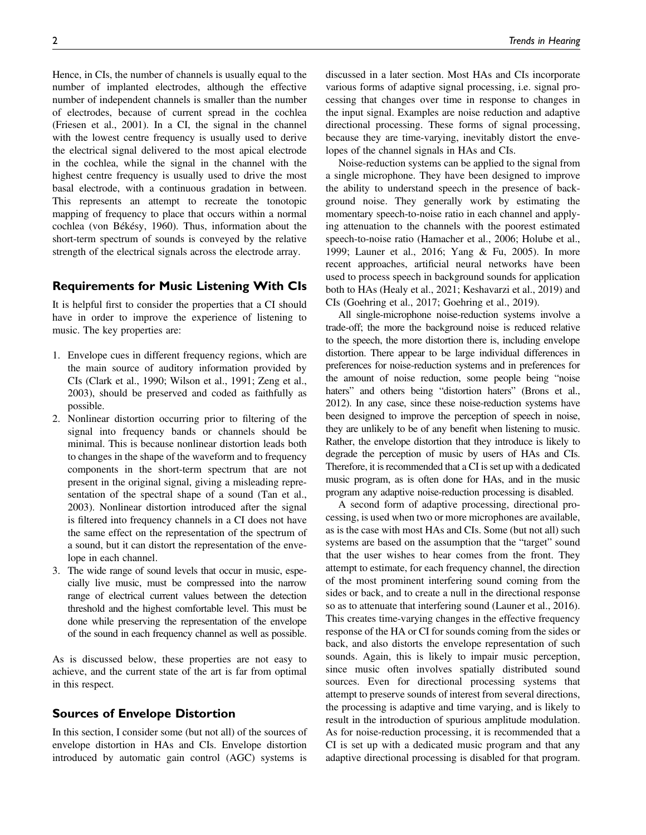Hence, in CIs, the number of channels is usually equal to the number of implanted electrodes, although the effective number of independent channels is smaller than the number of electrodes, because of current spread in the cochlea (Friesen et al., 2001). In a CI, the signal in the channel with the lowest centre frequency is usually used to derive the electrical signal delivered to the most apical electrode in the cochlea, while the signal in the channel with the highest centre frequency is usually used to drive the most basal electrode, with a continuous gradation in between. This represents an attempt to recreate the tonotopic mapping of frequency to place that occurs within a normal cochlea (von Békésy, 1960). Thus, information about the short-term spectrum of sounds is conveyed by the relative strength of the electrical signals across the electrode array.

## Requirements for Music Listening With CIs

It is helpful first to consider the properties that a CI should have in order to improve the experience of listening to music. The key properties are:

- 1. Envelope cues in different frequency regions, which are the main source of auditory information provided by CIs (Clark et al., 1990; Wilson et al., 1991; Zeng et al., 2003), should be preserved and coded as faithfully as possible.
- 2. Nonlinear distortion occurring prior to filtering of the signal into frequency bands or channels should be minimal. This is because nonlinear distortion leads both to changes in the shape of the waveform and to frequency components in the short-term spectrum that are not present in the original signal, giving a misleading representation of the spectral shape of a sound (Tan et al., 2003). Nonlinear distortion introduced after the signal is filtered into frequency channels in a CI does not have the same effect on the representation of the spectrum of a sound, but it can distort the representation of the envelope in each channel.
- 3. The wide range of sound levels that occur in music, especially live music, must be compressed into the narrow range of electrical current values between the detection threshold and the highest comfortable level. This must be done while preserving the representation of the envelope of the sound in each frequency channel as well as possible.

As is discussed below, these properties are not easy to achieve, and the current state of the art is far from optimal in this respect.

#### Sources of Envelope Distortion

In this section, I consider some (but not all) of the sources of envelope distortion in HAs and CIs. Envelope distortion introduced by automatic gain control (AGC) systems is discussed in a later section. Most HAs and CIs incorporate various forms of adaptive signal processing, i.e. signal processing that changes over time in response to changes in the input signal. Examples are noise reduction and adaptive directional processing. These forms of signal processing, because they are time-varying, inevitably distort the envelopes of the channel signals in HAs and CIs.

Noise-reduction systems can be applied to the signal from a single microphone. They have been designed to improve the ability to understand speech in the presence of background noise. They generally work by estimating the momentary speech-to-noise ratio in each channel and applying attenuation to the channels with the poorest estimated speech-to-noise ratio (Hamacher et al., 2006; Holube et al., 1999; Launer et al., 2016; Yang & Fu, 2005). In more recent approaches, artificial neural networks have been used to process speech in background sounds for application both to HAs (Healy et al., 2021; Keshavarzi et al., 2019) and CIs (Goehring et al., 2017; Goehring et al., 2019).

All single-microphone noise-reduction systems involve a trade-off; the more the background noise is reduced relative to the speech, the more distortion there is, including envelope distortion. There appear to be large individual differences in preferences for noise-reduction systems and in preferences for the amount of noise reduction, some people being "noise haters" and others being "distortion haters" (Brons et al., 2012). In any case, since these noise-reduction systems have been designed to improve the perception of speech in noise, they are unlikely to be of any benefit when listening to music. Rather, the envelope distortion that they introduce is likely to degrade the perception of music by users of HAs and CIs. Therefore, it is recommended that a CI is set up with a dedicated music program, as is often done for HAs, and in the music program any adaptive noise-reduction processing is disabled.

A second form of adaptive processing, directional processing, is used when two or more microphones are available, as is the case with most HAs and CIs. Some (but not all) such systems are based on the assumption that the "target" sound that the user wishes to hear comes from the front. They attempt to estimate, for each frequency channel, the direction of the most prominent interfering sound coming from the sides or back, and to create a null in the directional response so as to attenuate that interfering sound (Launer et al., 2016). This creates time-varying changes in the effective frequency response of the HA or CI for sounds coming from the sides or back, and also distorts the envelope representation of such sounds. Again, this is likely to impair music perception, since music often involves spatially distributed sound sources. Even for directional processing systems that attempt to preserve sounds of interest from several directions, the processing is adaptive and time varying, and is likely to result in the introduction of spurious amplitude modulation. As for noise-reduction processing, it is recommended that a CI is set up with a dedicated music program and that any adaptive directional processing is disabled for that program.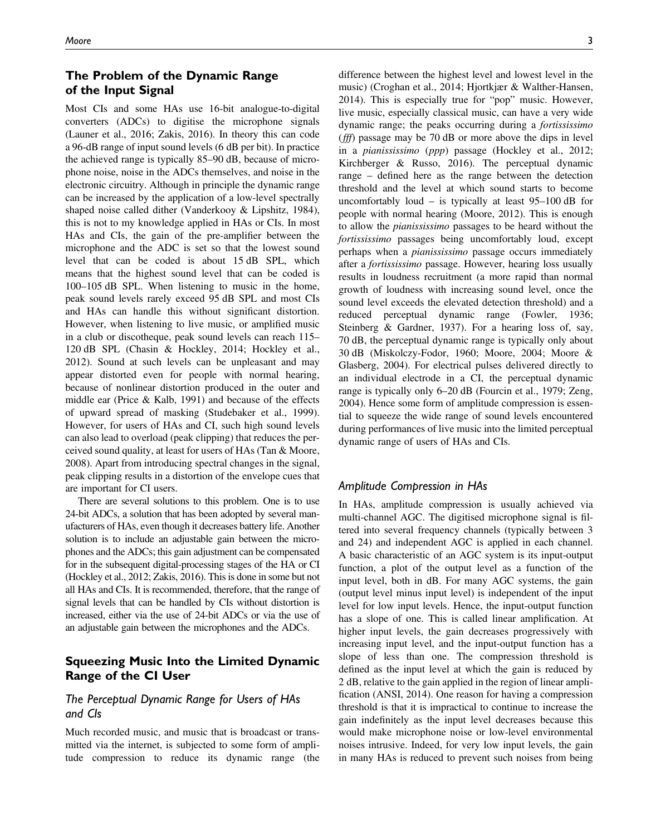# The Problem of the Dynamic Range of the Input Signal

Most CIs and some HAs use 16-bit analogue-to-digital converters (ADCs) to digitise the microphone signals (Launer et al., 2016; Zakis, 2016). In theory this can code a 96-dB range of input sound levels (6 dB per bit). In practice the achieved range is typically 85–90 dB, because of microphone noise, noise in the ADCs themselves, and noise in the electronic circuitry. Although in principle the dynamic range can be increased by the application of a low-level spectrally shaped noise called dither (Vanderkooy & Lipshitz, 1984), this is not to my knowledge applied in HAs or CIs. In most HAs and CIs, the gain of the pre-amplifier between the microphone and the ADC is set so that the lowest sound level that can be coded is about 15 dB SPL, which means that the highest sound level that can be coded is 100–105 dB SPL. When listening to music in the home, peak sound levels rarely exceed 95 dB SPL and most CIs and HAs can handle this without significant distortion. However, when listening to live music, or amplified music in a club or discotheque, peak sound levels can reach 115– 120 dB SPL (Chasin & Hockley, 2014; Hockley et al., 2012). Sound at such levels can be unpleasant and may appear distorted even for people with normal hearing, because of nonlinear distortion produced in the outer and middle ear (Price & Kalb, 1991) and because of the effects of upward spread of masking (Studebaker et al., 1999). However, for users of HAs and CI, such high sound levels can also lead to overload (peak clipping) that reduces the perceived sound quality, at least for users of HAs (Tan & Moore, 2008). Apart from introducing spectral changes in the signal, peak clipping results in a distortion of the envelope cues that are important for CI users.

There are several solutions to this problem. One is to use 24-bit ADCs, a solution that has been adopted by several manufacturers of HAs, even though it decreases battery life. Another solution is to include an adjustable gain between the microphones and the ADCs; this gain adjustment can be compensated for in the subsequent digital-processing stages of the HA or CI (Hockley et al., 2012; Zakis, 2016). This is done in some but not all HAs and CIs. It is recommended, therefore, that the range of signal levels that can be handled by CIs without distortion is increased, either via the use of 24-bit ADCs or via the use of an adjustable gain between the microphones and the ADCs.

## Squeezing Music Into the Limited Dynamic Range of the CI User

## The Perceptual Dynamic Range for Users of HAs and CIs

Much recorded music, and music that is broadcast or transmitted via the internet, is subjected to some form of amplitude compression to reduce its dynamic range (the difference between the highest level and lowest level in the music) (Croghan et al., 2014; Hjortkjær & Walther-Hansen, 2014). This is especially true for "pop" music. However, live music, especially classical music, can have a very wide dynamic range; the peaks occurring during a fortississimo (fff) passage may be 70 dB or more above the dips in level in a pianississimo (ppp) passage (Hockley et al., 2012; Kirchberger & Russo, 2016). The perceptual dynamic range – defined here as the range between the detection threshold and the level at which sound starts to become uncomfortably loud – is typically at least  $95-100$  dB for people with normal hearing (Moore, 2012). This is enough to allow the pianississimo passages to be heard without the fortississimo passages being uncomfortably loud, except perhaps when a *pianississimo* passage occurs immediately after a fortississimo passage. However, hearing loss usually results in loudness recruitment (a more rapid than normal growth of loudness with increasing sound level, once the sound level exceeds the elevated detection threshold) and a reduced perceptual dynamic range (Fowler, 1936; Steinberg & Gardner, 1937). For a hearing loss of, say, 70 dB, the perceptual dynamic range is typically only about 30 dB (Miskolczy-Fodor, 1960; Moore, 2004; Moore & Glasberg, 2004). For electrical pulses delivered directly to an individual electrode in a CI, the perceptual dynamic range is typically only 6–20 dB (Fourcin et al., 1979; Zeng, 2004). Hence some form of amplitude compression is essential to squeeze the wide range of sound levels encountered during performances of live music into the limited perceptual dynamic range of users of HAs and CIs.

#### Amplitude Compression in HAs

In HAs, amplitude compression is usually achieved via multi-channel AGC. The digitised microphone signal is filtered into several frequency channels (typically between 3 and 24) and independent AGC is applied in each channel. A basic characteristic of an AGC system is its input-output function, a plot of the output level as a function of the input level, both in dB. For many AGC systems, the gain (output level minus input level) is independent of the input level for low input levels. Hence, the input-output function has a slope of one. This is called linear amplification. At higher input levels, the gain decreases progressively with increasing input level, and the input-output function has a slope of less than one. The compression threshold is defined as the input level at which the gain is reduced by 2 dB, relative to the gain applied in the region of linear amplification (ANSI, 2014). One reason for having a compression threshold is that it is impractical to continue to increase the gain indefinitely as the input level decreases because this would make microphone noise or low-level environmental noises intrusive. Indeed, for very low input levels, the gain in many HAs is reduced to prevent such noises from being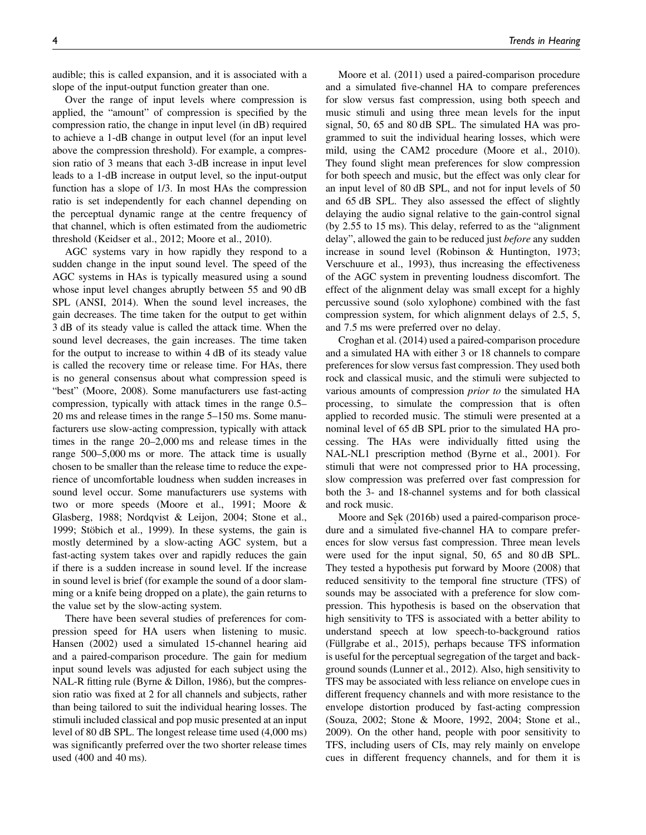audible; this is called expansion, and it is associated with a slope of the input-output function greater than one.

Over the range of input levels where compression is applied, the "amount" of compression is specified by the compression ratio, the change in input level (in dB) required to achieve a 1-dB change in output level (for an input level above the compression threshold). For example, a compression ratio of 3 means that each 3-dB increase in input level leads to a 1-dB increase in output level, so the input-output function has a slope of 1/3. In most HAs the compression ratio is set independently for each channel depending on the perceptual dynamic range at the centre frequency of that channel, which is often estimated from the audiometric threshold (Keidser et al., 2012; Moore et al., 2010).

AGC systems vary in how rapidly they respond to a sudden change in the input sound level. The speed of the AGC systems in HAs is typically measured using a sound whose input level changes abruptly between 55 and 90 dB SPL (ANSI, 2014). When the sound level increases, the gain decreases. The time taken for the output to get within 3 dB of its steady value is called the attack time. When the sound level decreases, the gain increases. The time taken for the output to increase to within 4 dB of its steady value is called the recovery time or release time. For HAs, there is no general consensus about what compression speed is "best" (Moore, 2008). Some manufacturers use fast-acting compression, typically with attack times in the range 0.5– 20 ms and release times in the range 5–150 ms. Some manufacturers use slow-acting compression, typically with attack times in the range 20–2,000 ms and release times in the range 500–5,000 ms or more. The attack time is usually chosen to be smaller than the release time to reduce the experience of uncomfortable loudness when sudden increases in sound level occur. Some manufacturers use systems with two or more speeds (Moore et al., 1991; Moore & Glasberg, 1988; Nordqvist & Leijon, 2004; Stone et al., 1999; Stöbich et al., 1999). In these systems, the gain is mostly determined by a slow-acting AGC system, but a fast-acting system takes over and rapidly reduces the gain if there is a sudden increase in sound level. If the increase in sound level is brief (for example the sound of a door slamming or a knife being dropped on a plate), the gain returns to the value set by the slow-acting system.

There have been several studies of preferences for compression speed for HA users when listening to music. Hansen (2002) used a simulated 15-channel hearing aid and a paired-comparison procedure. The gain for medium input sound levels was adjusted for each subject using the NAL-R fitting rule (Byrne & Dillon, 1986), but the compression ratio was fixed at 2 for all channels and subjects, rather than being tailored to suit the individual hearing losses. The stimuli included classical and pop music presented at an input level of 80 dB SPL. The longest release time used (4,000 ms) was significantly preferred over the two shorter release times used (400 and 40 ms).

Moore et al. (2011) used a paired-comparison procedure and a simulated five-channel HA to compare preferences for slow versus fast compression, using both speech and music stimuli and using three mean levels for the input signal, 50, 65 and 80 dB SPL. The simulated HA was programmed to suit the individual hearing losses, which were mild, using the CAM2 procedure (Moore et al., 2010). They found slight mean preferences for slow compression for both speech and music, but the effect was only clear for an input level of 80 dB SPL, and not for input levels of 50 and 65 dB SPL. They also assessed the effect of slightly delaying the audio signal relative to the gain-control signal (by 2.55 to 15 ms). This delay, referred to as the "alignment delay", allowed the gain to be reduced just *before* any sudden increase in sound level (Robinson & Huntington, 1973; Verschuure et al., 1993), thus increasing the effectiveness of the AGC system in preventing loudness discomfort. The effect of the alignment delay was small except for a highly percussive sound (solo xylophone) combined with the fast compression system, for which alignment delays of 2.5, 5, and 7.5 ms were preferred over no delay.

Croghan et al. (2014) used a paired-comparison procedure and a simulated HA with either 3 or 18 channels to compare preferences for slow versus fast compression. They used both rock and classical music, and the stimuli were subjected to various amounts of compression prior to the simulated HA processing, to simulate the compression that is often applied to recorded music. The stimuli were presented at a nominal level of 65 dB SPL prior to the simulated HA processing. The HAs were individually fitted using the NAL-NL1 prescription method (Byrne et al., 2001). For stimuli that were not compressed prior to HA processing, slow compression was preferred over fast compression for both the 3- and 18-channel systems and for both classical and rock music.

Moore and Sek (2016b) used a paired-comparison procedure and a simulated five-channel HA to compare preferences for slow versus fast compression. Three mean levels were used for the input signal, 50, 65 and 80 dB SPL. They tested a hypothesis put forward by Moore (2008) that reduced sensitivity to the temporal fine structure (TFS) of sounds may be associated with a preference for slow compression. This hypothesis is based on the observation that high sensitivity to TFS is associated with a better ability to understand speech at low speech-to-background ratios (Füllgrabe et al., 2015), perhaps because TFS information is useful for the perceptual segregation of the target and background sounds (Lunner et al., 2012). Also, high sensitivity to TFS may be associated with less reliance on envelope cues in different frequency channels and with more resistance to the envelope distortion produced by fast-acting compression (Souza, 2002; Stone & Moore, 1992, 2004; Stone et al., 2009). On the other hand, people with poor sensitivity to TFS, including users of CIs, may rely mainly on envelope cues in different frequency channels, and for them it is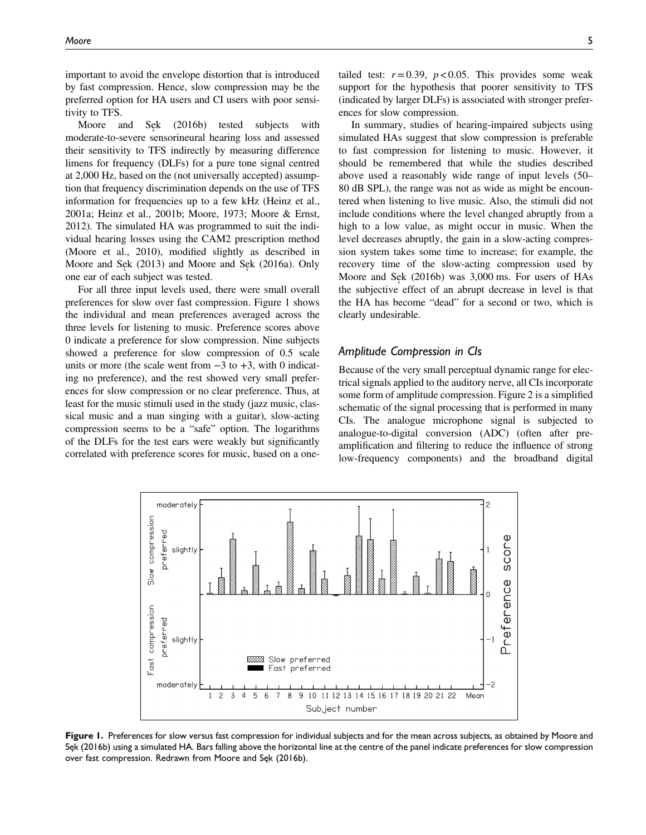important to avoid the envelope distortion that is introduced by fast compression. Hence, slow compression may be the preferred option for HA users and CI users with poor sensitivity to TFS.

Moore and Sek (2016b) tested subjects with moderate-to-severe sensorineural hearing loss and assessed their sensitivity to TFS indirectly by measuring difference limens for frequency (DLFs) for a pure tone signal centred at 2,000 Hz, based on the (not universally accepted) assumption that frequency discrimination depends on the use of TFS information for frequencies up to a few kHz (Heinz et al., 2001a; Heinz et al., 2001b; Moore, 1973; Moore & Ernst, 2012). The simulated HA was programmed to suit the individual hearing losses using the CAM2 prescription method (Moore et al., 2010), modified slightly as described in Moore and Sek (2013) and Moore and Sek (2016a). Only one ear of each subject was tested.

For all three input levels used, there were small overall preferences for slow over fast compression. Figure 1 shows the individual and mean preferences averaged across the three levels for listening to music. Preference scores above 0 indicate a preference for slow compression. Nine subjects showed a preference for slow compression of 0.5 scale units or more (the scale went from  $-3$  to  $+3$ , with 0 indicating no preference), and the rest showed very small preferences for slow compression or no clear preference. Thus, at least for the music stimuli used in the study (jazz music, classical music and a man singing with a guitar), slow-acting compression seems to be a "safe" option. The logarithms of the DLFs for the test ears were weakly but significantly correlated with preference scores for music, based on a one-

In summary, studies of hearing-impaired subjects using simulated HAs suggest that slow compression is preferable to fast compression for listening to music. However, it should be remembered that while the studies described above used a reasonably wide range of input levels (50– 80 dB SPL), the range was not as wide as might be encountered when listening to live music. Also, the stimuli did not include conditions where the level changed abruptly from a high to a low value, as might occur in music. When the level decreases abruptly, the gain in a slow-acting compression system takes some time to increase; for example, the recovery time of the slow-acting compression used by Moore and Sek (2016b) was 3,000 ms. For users of HAs the subjective effect of an abrupt decrease in level is that the HA has become "dead" for a second or two, which is clearly undesirable.

#### Amplitude Compression in CIs

Because of the very small perceptual dynamic range for electrical signals applied to the auditory nerve, all CIs incorporate some form of amplitude compression. Figure 2 is a simplified schematic of the signal processing that is performed in many CIs. The analogue microphone signal is subjected to analogue-to-digital conversion (ADC) (often after preamplification and filtering to reduce the influence of strong low-frequency components) and the broadband digital



Figure 1. Preferences for slow versus fast compression for individual subjects and for the mean across subjects, as obtained by Moore and Sęk (2016b) using a simulated HA. Bars falling above the horizontal line at the centre of the panel indicate preferences for slow compression over fast compression. Redrawn from Moore and Sęk (2016b).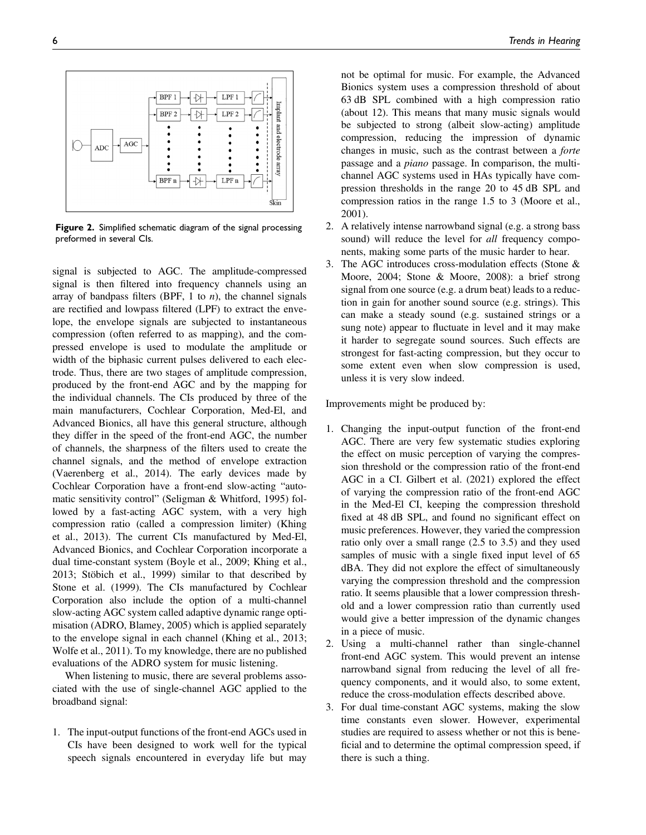

Figure 2. Simplified schematic diagram of the signal processing preformed in several CIs.

signal is subjected to AGC. The amplitude-compressed signal is then filtered into frequency channels using an array of bandpass filters (BPF, 1 to  $n$ ), the channel signals are rectified and lowpass filtered (LPF) to extract the envelope, the envelope signals are subjected to instantaneous compression (often referred to as mapping), and the compressed envelope is used to modulate the amplitude or width of the biphasic current pulses delivered to each electrode. Thus, there are two stages of amplitude compression, produced by the front-end AGC and by the mapping for the individual channels. The CIs produced by three of the main manufacturers, Cochlear Corporation, Med-El, and Advanced Bionics, all have this general structure, although they differ in the speed of the front-end AGC, the number of channels, the sharpness of the filters used to create the channel signals, and the method of envelope extraction (Vaerenberg et al., 2014). The early devices made by Cochlear Corporation have a front-end slow-acting "automatic sensitivity control" (Seligman & Whitford, 1995) followed by a fast-acting AGC system, with a very high compression ratio (called a compression limiter) (Khing et al., 2013). The current CIs manufactured by Med-El, Advanced Bionics, and Cochlear Corporation incorporate a dual time-constant system (Boyle et al., 2009; Khing et al., 2013; Stöbich et al., 1999) similar to that described by Stone et al. (1999). The CIs manufactured by Cochlear Corporation also include the option of a multi-channel slow-acting AGC system called adaptive dynamic range optimisation (ADRO, Blamey, 2005) which is applied separately to the envelope signal in each channel (Khing et al., 2013; Wolfe et al., 2011). To my knowledge, there are no published evaluations of the ADRO system for music listening.

When listening to music, there are several problems associated with the use of single-channel AGC applied to the broadband signal:

1. The input-output functions of the front-end AGCs used in CIs have been designed to work well for the typical speech signals encountered in everyday life but may not be optimal for music. For example, the Advanced Bionics system uses a compression threshold of about 63 dB SPL combined with a high compression ratio (about 12). This means that many music signals would be subjected to strong (albeit slow-acting) amplitude compression, reducing the impression of dynamic changes in music, such as the contrast between a forte passage and a piano passage. In comparison, the multichannel AGC systems used in HAs typically have compression thresholds in the range 20 to 45 dB SPL and compression ratios in the range 1.5 to 3 (Moore et al., 2001).

- 2. A relatively intense narrowband signal (e.g. a strong bass sound) will reduce the level for all frequency components, making some parts of the music harder to hear.
- 3. The AGC introduces cross-modulation effects (Stone & Moore, 2004; Stone & Moore, 2008): a brief strong signal from one source (e.g. a drum beat) leads to a reduction in gain for another sound source (e.g. strings). This can make a steady sound (e.g. sustained strings or a sung note) appear to fluctuate in level and it may make it harder to segregate sound sources. Such effects are strongest for fast-acting compression, but they occur to some extent even when slow compression is used, unless it is very slow indeed.

Improvements might be produced by:

- 1. Changing the input-output function of the front-end AGC. There are very few systematic studies exploring the effect on music perception of varying the compression threshold or the compression ratio of the front-end AGC in a CI. Gilbert et al. (2021) explored the effect of varying the compression ratio of the front-end AGC in the Med-El CI, keeping the compression threshold fixed at 48 dB SPL, and found no significant effect on music preferences. However, they varied the compression ratio only over a small range (2.5 to 3.5) and they used samples of music with a single fixed input level of 65 dBA. They did not explore the effect of simultaneously varying the compression threshold and the compression ratio. It seems plausible that a lower compression threshold and a lower compression ratio than currently used would give a better impression of the dynamic changes in a piece of music.
- 2. Using a multi-channel rather than single-channel front-end AGC system. This would prevent an intense narrowband signal from reducing the level of all frequency components, and it would also, to some extent, reduce the cross-modulation effects described above.
- 3. For dual time-constant AGC systems, making the slow time constants even slower. However, experimental studies are required to assess whether or not this is beneficial and to determine the optimal compression speed, if there is such a thing.

6 Trends in Hearing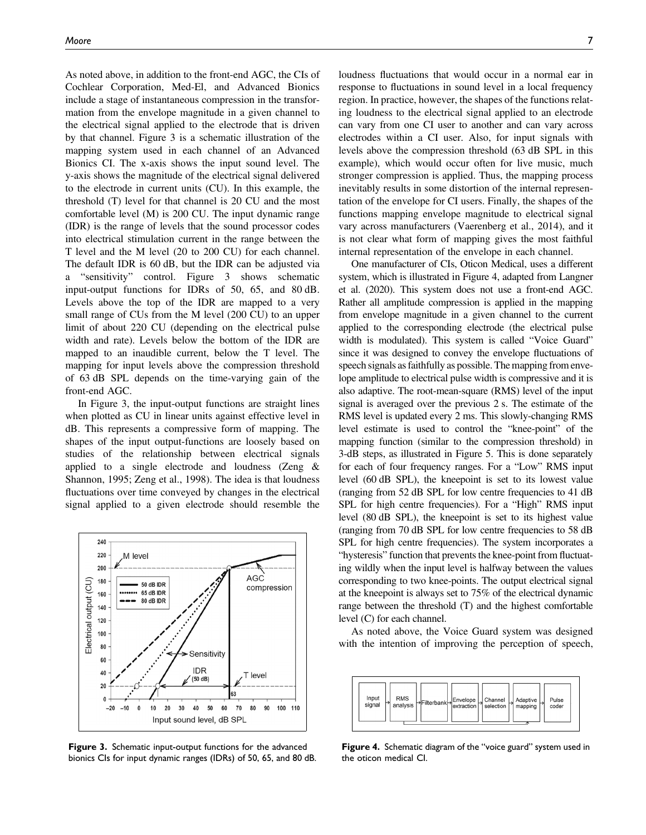As noted above, in addition to the front-end AGC, the CIs of Cochlear Corporation, Med-El, and Advanced Bionics include a stage of instantaneous compression in the transformation from the envelope magnitude in a given channel to the electrical signal applied to the electrode that is driven by that channel. Figure 3 is a schematic illustration of the mapping system used in each channel of an Advanced Bionics CI. The x-axis shows the input sound level. The y-axis shows the magnitude of the electrical signal delivered to the electrode in current units (CU). In this example, the threshold (T) level for that channel is 20 CU and the most comfortable level (M) is 200 CU. The input dynamic range (IDR) is the range of levels that the sound processor codes into electrical stimulation current in the range between the T level and the M level (20 to 200 CU) for each channel. The default IDR is 60 dB, but the IDR can be adjusted via a "sensitivity" control. Figure 3 shows schematic input-output functions for IDRs of 50, 65, and 80 dB. Levels above the top of the IDR are mapped to a very small range of CUs from the M level (200 CU) to an upper limit of about 220 CU (depending on the electrical pulse width and rate). Levels below the bottom of the IDR are mapped to an inaudible current, below the T level. The mapping for input levels above the compression threshold of 63 dB SPL depends on the time-varying gain of the front-end AGC.

In Figure 3, the input-output functions are straight lines when plotted as CU in linear units against effective level in dB. This represents a compressive form of mapping. The shapes of the input output-functions are loosely based on studies of the relationship between electrical signals applied to a single electrode and loudness (Zeng & Shannon, 1995; Zeng et al., 1998). The idea is that loudness fluctuations over time conveyed by changes in the electrical signal applied to a given electrode should resemble the



Figure 3. Schematic input-output functions for the advanced bionics CIs for input dynamic ranges (IDRs) of 50, 65, and 80 dB.

loudness fluctuations that would occur in a normal ear in response to fluctuations in sound level in a local frequency region. In practice, however, the shapes of the functions relating loudness to the electrical signal applied to an electrode can vary from one CI user to another and can vary across electrodes within a CI user. Also, for input signals with levels above the compression threshold (63 dB SPL in this example), which would occur often for live music, much

stronger compression is applied. Thus, the mapping process inevitably results in some distortion of the internal representation of the envelope for CI users. Finally, the shapes of the functions mapping envelope magnitude to electrical signal vary across manufacturers (Vaerenberg et al., 2014), and it is not clear what form of mapping gives the most faithful internal representation of the envelope in each channel.

One manufacturer of CIs, Oticon Medical, uses a different system, which is illustrated in Figure 4, adapted from Langner et al. (2020). This system does not use a front-end AGC. Rather all amplitude compression is applied in the mapping from envelope magnitude in a given channel to the current applied to the corresponding electrode (the electrical pulse width is modulated). This system is called "Voice Guard" since it was designed to convey the envelope fluctuations of speech signals as faithfully as possible. The mapping from envelope amplitude to electrical pulse width is compressive and it is also adaptive. The root-mean-square (RMS) level of the input signal is averaged over the previous 2 s. The estimate of the RMS level is updated every 2 ms. This slowly-changing RMS level estimate is used to control the "knee-point" of the mapping function (similar to the compression threshold) in 3-dB steps, as illustrated in Figure 5. This is done separately for each of four frequency ranges. For a "Low" RMS input level (60 dB SPL), the kneepoint is set to its lowest value (ranging from 52 dB SPL for low centre frequencies to 41 dB SPL for high centre frequencies). For a "High" RMS input level (80 dB SPL), the kneepoint is set to its highest value (ranging from 70 dB SPL for low centre frequencies to 58 dB SPL for high centre frequencies). The system incorporates a "hysteresis" function that prevents the knee-point from fluctuating wildly when the input level is halfway between the values corresponding to two knee-points. The output electrical signal at the kneepoint is always set to 75% of the electrical dynamic range between the threshold (T) and the highest comfortable level (C) for each channel.

As noted above, the Voice Guard system was designed with the intention of improving the perception of speech,



Figure 4. Schematic diagram of the "voice guard" system used in the oticon medical CI.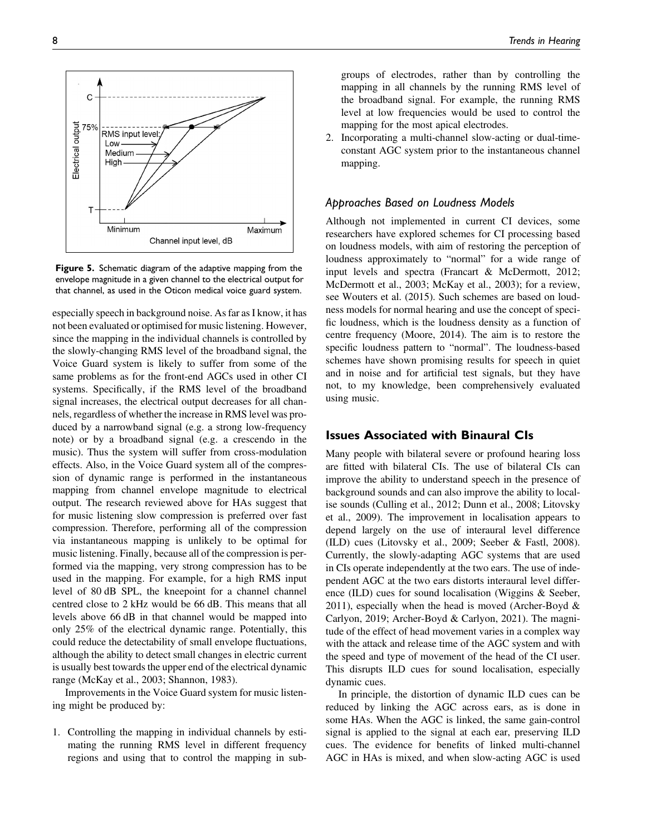

Figure 5. Schematic diagram of the adaptive mapping from the envelope magnitude in a given channel to the electrical output for that channel, as used in the Oticon medical voice guard system.

especially speech in background noise. As far as I know, it has not been evaluated or optimised for music listening. However, since the mapping in the individual channels is controlled by the slowly-changing RMS level of the broadband signal, the Voice Guard system is likely to suffer from some of the same problems as for the front-end AGCs used in other CI systems. Specifically, if the RMS level of the broadband signal increases, the electrical output decreases for all channels, regardless of whether the increase in RMS level was produced by a narrowband signal (e.g. a strong low-frequency note) or by a broadband signal (e.g. a crescendo in the music). Thus the system will suffer from cross-modulation effects. Also, in the Voice Guard system all of the compression of dynamic range is performed in the instantaneous mapping from channel envelope magnitude to electrical output. The research reviewed above for HAs suggest that for music listening slow compression is preferred over fast compression. Therefore, performing all of the compression via instantaneous mapping is unlikely to be optimal for music listening. Finally, because all of the compression is performed via the mapping, very strong compression has to be used in the mapping. For example, for a high RMS input level of 80 dB SPL, the kneepoint for a channel channel centred close to 2 kHz would be 66 dB. This means that all levels above 66 dB in that channel would be mapped into only 25% of the electrical dynamic range. Potentially, this could reduce the detectability of small envelope fluctuations, although the ability to detect small changes in electric current is usually best towards the upper end of the electrical dynamic range (McKay et al., 2003; Shannon, 1983).

Improvements in the Voice Guard system for music listening might be produced by:

1. Controlling the mapping in individual channels by estimating the running RMS level in different frequency regions and using that to control the mapping in subgroups of electrodes, rather than by controlling the mapping in all channels by the running RMS level of the broadband signal. For example, the running RMS level at low frequencies would be used to control the mapping for the most apical electrodes.

2. Incorporating a multi-channel slow-acting or dual-timeconstant AGC system prior to the instantaneous channel mapping.

#### Approaches Based on Loudness Models

Although not implemented in current CI devices, some researchers have explored schemes for CI processing based on loudness models, with aim of restoring the perception of loudness approximately to "normal" for a wide range of input levels and spectra (Francart & McDermott, 2012; McDermott et al., 2003; McKay et al., 2003); for a review, see Wouters et al. (2015). Such schemes are based on loudness models for normal hearing and use the concept of specific loudness, which is the loudness density as a function of centre frequency (Moore, 2014). The aim is to restore the specific loudness pattern to "normal". The loudness-based schemes have shown promising results for speech in quiet and in noise and for artificial test signals, but they have not, to my knowledge, been comprehensively evaluated using music.

## Issues Associated with Binaural CIs

Many people with bilateral severe or profound hearing loss are fitted with bilateral CIs. The use of bilateral CIs can improve the ability to understand speech in the presence of background sounds and can also improve the ability to localise sounds (Culling et al., 2012; Dunn et al., 2008; Litovsky et al., 2009). The improvement in localisation appears to depend largely on the use of interaural level difference (ILD) cues (Litovsky et al., 2009; Seeber & Fastl, 2008). Currently, the slowly-adapting AGC systems that are used in CIs operate independently at the two ears. The use of independent AGC at the two ears distorts interaural level difference (ILD) cues for sound localisation (Wiggins & Seeber, 2011), especially when the head is moved (Archer-Boyd  $\&$ Carlyon, 2019; Archer-Boyd & Carlyon, 2021). The magnitude of the effect of head movement varies in a complex way with the attack and release time of the AGC system and with the speed and type of movement of the head of the CI user. This disrupts ILD cues for sound localisation, especially dynamic cues.

In principle, the distortion of dynamic ILD cues can be reduced by linking the AGC across ears, as is done in some HAs. When the AGC is linked, the same gain-control signal is applied to the signal at each ear, preserving ILD cues. The evidence for benefits of linked multi-channel AGC in HAs is mixed, and when slow-acting AGC is used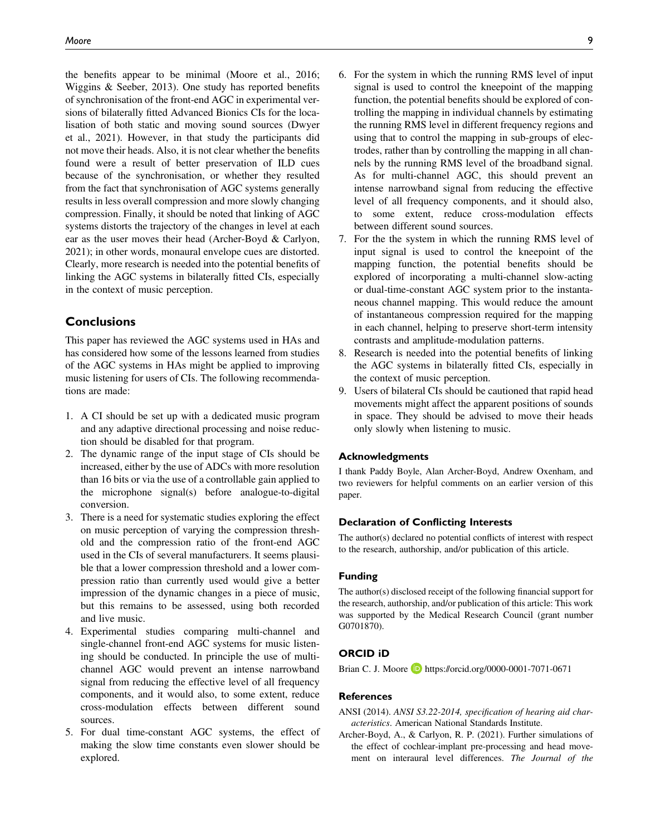the benefits appear to be minimal (Moore et al., 2016; Wiggins & Seeber, 2013). One study has reported benefits of synchronisation of the front-end AGC in experimental versions of bilaterally fitted Advanced Bionics CIs for the localisation of both static and moving sound sources (Dwyer et al., 2021). However, in that study the participants did not move their heads. Also, it is not clear whether the benefits found were a result of better preservation of ILD cues because of the synchronisation, or whether they resulted from the fact that synchronisation of AGC systems generally results in less overall compression and more slowly changing compression. Finally, it should be noted that linking of AGC systems distorts the trajectory of the changes in level at each ear as the user moves their head (Archer-Boyd & Carlyon, 2021); in other words, monaural envelope cues are distorted. Clearly, more research is needed into the potential benefits of linking the AGC systems in bilaterally fitted CIs, especially in the context of music perception.

## **Conclusions**

This paper has reviewed the AGC systems used in HAs and has considered how some of the lessons learned from studies of the AGC systems in HAs might be applied to improving music listening for users of CIs. The following recommendations are made:

- 1. A CI should be set up with a dedicated music program and any adaptive directional processing and noise reduction should be disabled for that program.
- 2. The dynamic range of the input stage of CIs should be increased, either by the use of ADCs with more resolution than 16 bits or via the use of a controllable gain applied to the microphone signal(s) before analogue-to-digital conversion.
- 3. There is a need for systematic studies exploring the effect on music perception of varying the compression threshold and the compression ratio of the front-end AGC used in the CIs of several manufacturers. It seems plausible that a lower compression threshold and a lower compression ratio than currently used would give a better impression of the dynamic changes in a piece of music, but this remains to be assessed, using both recorded and live music.
- 4. Experimental studies comparing multi-channel and single-channel front-end AGC systems for music listening should be conducted. In principle the use of multichannel AGC would prevent an intense narrowband signal from reducing the effective level of all frequency components, and it would also, to some extent, reduce cross-modulation effects between different sound sources.
- 5. For dual time-constant AGC systems, the effect of making the slow time constants even slower should be explored.
- 6. For the system in which the running RMS level of input signal is used to control the kneepoint of the mapping function, the potential benefits should be explored of controlling the mapping in individual channels by estimating the running RMS level in different frequency regions and using that to control the mapping in sub-groups of electrodes, rather than by controlling the mapping in all channels by the running RMS level of the broadband signal. As for multi-channel AGC, this should prevent an intense narrowband signal from reducing the effective level of all frequency components, and it should also, to some extent, reduce cross-modulation effects between different sound sources.
- 7. For the the system in which the running RMS level of input signal is used to control the kneepoint of the mapping function, the potential benefits should be explored of incorporating a multi-channel slow-acting or dual-time-constant AGC system prior to the instantaneous channel mapping. This would reduce the amount of instantaneous compression required for the mapping in each channel, helping to preserve short-term intensity contrasts and amplitude-modulation patterns.
- 8. Research is needed into the potential benefits of linking the AGC systems in bilaterally fitted CIs, especially in the context of music perception.
- 9. Users of bilateral CIs should be cautioned that rapid head movements might affect the apparent positions of sounds in space. They should be advised to move their heads only slowly when listening to music.

#### Acknowledgments

I thank Paddy Boyle, Alan Archer-Boyd, Andrew Oxenham, and two reviewers for helpful comments on an earlier version of this paper.

#### Declaration of Conflicting Interests

The author(s) declared no potential conflicts of interest with respect to the research, authorship, and/or publication of this article.

#### Funding

The author(s) disclosed receipt of the following financial support for the research, authorship, and/or publication of this article: This work was supported by the Medical Research Council (grant number G0701870).

#### ORCID iD

Brian C. J. Moore **D** <https://orcid.org/0000-0001-7071-0671>

## **References**

- ANSI (2014). ANSI S3.22-2014, specification of hearing aid characteristics. American National Standards Institute.
- Archer-Boyd, A., & Carlyon, R. P. (2021). Further simulations of the effect of cochlear-implant pre-processing and head movement on interaural level differences. The Journal of the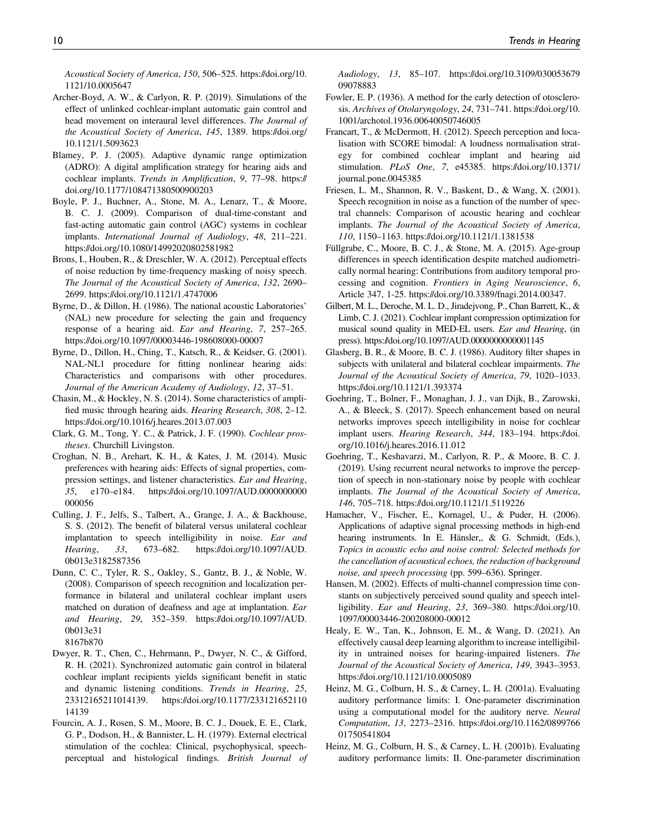Acoustical Society of America, 150, 506–525. [https://doi.org/10.](https://doi.org/10.1121/10.0005647) [1121/10.0005647](https://doi.org/10.1121/10.0005647)

- Archer-Boyd, A. W., & Carlyon, R. P. (2019). Simulations of the effect of unlinked cochlear-implant automatic gain control and head movement on interaural level differences. The Journal of the Acoustical Society of America, 145, 1389. [https://doi.org/](https://doi.org/10.1121/1.5093623) [10.1121/1.5093623](https://doi.org/10.1121/1.5093623)
- Blamey, P. J. (2005). Adaptive dynamic range optimization (ADRO): A digital amplification strategy for hearing aids and cochlear implants. Trends in Amplification, 9, 77–98. [https://](https://doi.org/10.1177/108471380500900203) [doi.org/10.1177/108471380500900203](https://doi.org/10.1177/108471380500900203)
- Boyle, P. J., Buchner, A., Stone, M. A., Lenarz, T., & Moore, B. C. J. (2009). Comparison of dual-time-constant and fast-acting automatic gain control (AGC) systems in cochlear implants. International Journal of Audiology, 48, 211–221. <https://doi.org/10.1080/14992020802581982>
- Brons, I., Houben, R., & Dreschler, W. A. (2012). Perceptual effects of noise reduction by time-frequency masking of noisy speech. The Journal of the Acoustical Society of America, 132, 2690– 2699.<https://doi.org/10.1121/1.4747006>
- Byrne, D., & Dillon, H. (1986). The national acoustic Laboratories' (NAL) new procedure for selecting the gain and frequency response of a hearing aid. Ear and Hearing, 7, 257–265. <https://doi.org/10.1097/00003446-198608000-00007>
- Byrne, D., Dillon, H., Ching, T., Katsch, R., & Keidser, G. (2001). NAL-NL1 procedure for fitting nonlinear hearing aids: Characteristics and comparisons with other procedures. Journal of the American Academy of Audiology, 12, 37–51.
- Chasin, M., & Hockley, N. S. (2014). Some characteristics of amplified music through hearing aids. Hearing Research, 308, 2–12. <https://doi.org/10.1016/j.heares.2013.07.003>
- Clark, G. M., Tong, Y. C., & Patrick, J. F. (1990). Cochlear prostheses. Churchill Livingston.
- Croghan, N. B., Arehart, K. H., & Kates, J. M. (2014). Music preferences with hearing aids: Effects of signal properties, compression settings, and listener characteristics. Ear and Hearing, 35, e170–e184. [https://doi.org/10.1097/AUD.0000000000](https://doi.org/10.1097/AUD.0000000000000056) [000056](https://doi.org/10.1097/AUD.0000000000000056)
- Culling, J. F., Jelfs, S., Talbert, A., Grange, J. A., & Backhouse, S. S. (2012). The benefit of bilateral versus unilateral cochlear implantation to speech intelligibility in noise. Ear and Hearing, 33, 673–682. [https://doi.org/10.1097/AUD.](https://doi.org/10.1097/AUD.0b013e3182587356) [0b013e3182587356](https://doi.org/10.1097/AUD.0b013e3182587356)
- Dunn, C. C., Tyler, R. S., Oakley, S., Gantz, B. J., & Noble, W. (2008). Comparison of speech recognition and localization performance in bilateral and unilateral cochlear implant users matched on duration of deafness and age at implantation. Ear and Hearing, 29, 352–359. [https://doi.org/10.1097/AUD.](https://doi.org/10.1097/AUD.0b013e318167b870) [0b013e31](https://doi.org/10.1097/AUD.0b013e318167b870)
- [8167b870](https://doi.org/10.1097/AUD.0b013e318167b870)
- Dwyer, R. T., Chen, C., Hehrmann, P., Dwyer, N. C., & Gifford, R. H. (2021). Synchronized automatic gain control in bilateral cochlear implant recipients yields significant benefit in static and dynamic listening conditions. Trends in Hearing, 25, 23312165211014139. [https://doi.org/10.1177/233121652110](https://doi.org/10.1177/23312165211014139) [14139](https://doi.org/10.1177/23312165211014139)
- Fourcin, A. J., Rosen, S. M., Moore, B. C. J., Douek, E. E., Clark, G. P., Dodson, H., & Bannister, L. H. (1979). External electrical stimulation of the cochlea: Clinical, psychophysical, speechperceptual and histological findings. British Journal of

Audiology, 13, 85–107. [https://doi.org/10.3109/030053679](https://doi.org/10.3109/03005367909078883) [09078883](https://doi.org/10.3109/03005367909078883)

- Fowler, E. P. (1936). A method for the early detection of otosclerosis. Archives of Otolaryngology, 24, 731–741. [https://doi.org/10.](https://doi.org/10.1001/archotol.1936.00640050746005) [1001/archotol.1936.00640050746005](https://doi.org/10.1001/archotol.1936.00640050746005)
- Francart, T., & McDermott, H. (2012). Speech perception and localisation with SCORE bimodal: A loudness normalisation strategy for combined cochlear implant and hearing aid stimulation. PLoS One, 7, e45385. [https://doi.org/10.1371/](https://doi.org/10.1371/journal.pone.0045385) [journal.pone.0045385](https://doi.org/10.1371/journal.pone.0045385)
- Friesen, L. M., Shannon, R. V., Baskent, D., & Wang, X. (2001). Speech recognition in noise as a function of the number of spectral channels: Comparison of acoustic hearing and cochlear implants. The Journal of the Acoustical Society of America, 110, 1150–1163.<https://doi.org/10.1121/1.1381538>
- Füllgrabe, C., Moore, B. C. J., & Stone, M. A. (2015). Age-group differences in speech identification despite matched audiometrically normal hearing: Contributions from auditory temporal processing and cognition. Frontiers in Aging Neuroscience, 6, Article 347, 1-25.<https://doi.org/10.3389/fnagi.2014.00347.>
- Gilbert, M. L., Deroche, M. L. D., Jiradejvong, P., Chan Barrett, K., & Limb, C. J. (2021). Cochlear implant compression optimization for musical sound quality in MED-EL users. Ear and Hearing, (in press).<https://doi.org/10.1097/AUD.0000000000001145>
- Glasberg, B. R., & Moore, B. C. J. (1986). Auditory filter shapes in subjects with unilateral and bilateral cochlear impairments. The Journal of the Acoustical Society of America, 79, 1020–1033. <https://doi.org/10.1121/1.393374>
- Goehring, T., Bolner, F., Monaghan, J. J., van Dijk, B., Zarowski, A., & Bleeck, S. (2017). Speech enhancement based on neural networks improves speech intelligibility in noise for cochlear implant users. Hearing Research, 344, 183-194. [https://doi.](https://doi.org/10.1016/j.heares.2016.11.012) [org/10.1016/j.heares.2016.11.012](https://doi.org/10.1016/j.heares.2016.11.012)
- Goehring, T., Keshavarzi, M., Carlyon, R. P., & Moore, B. C. J. (2019). Using recurrent neural networks to improve the perception of speech in non-stationary noise by people with cochlear implants. The Journal of the Acoustical Society of America, 146, 705–718.<https://doi.org/10.1121/1.5119226>
- Hamacher, V., Fischer, E., Kornagel, U., & Puder, H. (2006). Applications of adaptive signal processing methods in high-end hearing instruments. In E. Hänsler,, & G. Schmidt, (Eds.), Topics in acoustic echo and noise control: Selected methods for the cancellation of acoustical echoes, the reduction of background noise, and speech processing (pp. 599–636). Springer.
- Hansen, M. (2002). Effects of multi-channel compression time constants on subjectively perceived sound quality and speech intelligibility. Ear and Hearing, 23, 369–380. [https://doi.org/10.](https://doi.org/10.1097/00003446-200208000-00012) [1097/00003446-200208000-00012](https://doi.org/10.1097/00003446-200208000-00012)
- Healy, E. W., Tan, K., Johnson, E. M., & Wang, D. (2021). An effectively causal deep learning algorithm to increase intelligibility in untrained noises for hearing-impaired listeners. The Journal of the Acoustical Society of America, 149, 3943–3953. <https://doi.org/10.1121/10.0005089>
- Heinz, M. G., Colburn, H. S., & Carney, L. H. (2001a). Evaluating auditory performance limits: I. One-parameter discrimination using a computational model for the auditory nerve. Neural Computation, 13, 2273–2316. [https://doi.org/10.1162/0899766](https://doi.org/10.1162/089976601750541804) [01750541804](https://doi.org/10.1162/089976601750541804)
- Heinz, M. G., Colburn, H. S., & Carney, L. H. (2001b). Evaluating auditory performance limits: II. One-parameter discrimination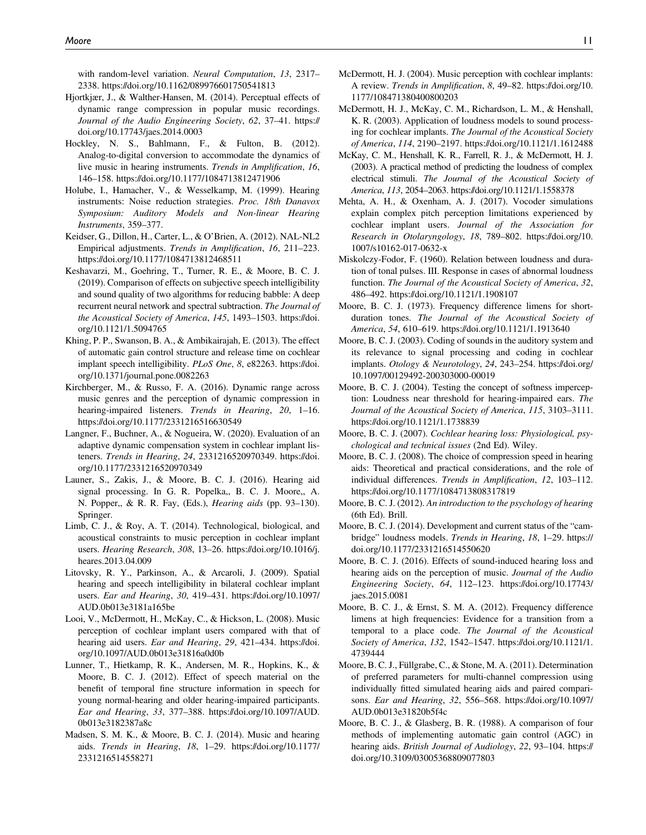with random-level variation. Neural Computation, 13, 2317– 2338.<https://doi.org/10.1162/089976601750541813>

- Hjortkjær, J., & Walther-Hansen, M. (2014). Perceptual effects of dynamic range compression in popular music recordings. Journal of the Audio Engineering Society, 62, 37–41. [https://](https://doi.org/10.17743/jaes.2014.0003) [doi.org/10.17743/jaes.2014.0003](https://doi.org/10.17743/jaes.2014.0003)
- Hockley, N. S., Bahlmann, F., & Fulton, B. (2012). Analog-to-digital conversion to accommodate the dynamics of live music in hearing instruments. Trends in Amplification, 16, 146–158.<https://doi.org/10.1177/1084713812471906>
- Holube, I., Hamacher, V., & Wesselkamp, M. (1999). Hearing instruments: Noise reduction strategies. Proc. 18th Danavox Symposium: Auditory Models and Non-linear Hearing Instruments, 359–377.
- Keidser, G., Dillon, H., Carter, L., & O'Brien, A. (2012). NAL-NL2 Empirical adjustments. Trends in Amplification, 16, 211–223. <https://doi.org/10.1177/1084713812468511>
- Keshavarzi, M., Goehring, T., Turner, R. E., & Moore, B. C. J. (2019). Comparison of effects on subjective speech intelligibility and sound quality of two algorithms for reducing babble: A deep recurrent neural network and spectral subtraction. The Journal of the Acoustical Society of America, 145, 1493–1503. [https://doi.](https://doi.org/10.1121/1.5094765) [org/10.1121/1.5094765](https://doi.org/10.1121/1.5094765)
- Khing, P. P., Swanson, B. A., & Ambikairajah, E. (2013). The effect of automatic gain control structure and release time on cochlear implant speech intelligibility. PLoS One, 8, e82263. [https://doi.](https://doi.org/10.1371/journal.pone.0082263) [org/10.1371/journal.pone.0082263](https://doi.org/10.1371/journal.pone.0082263)
- Kirchberger, M., & Russo, F. A. (2016). Dynamic range across music genres and the perception of dynamic compression in hearing-impaired listeners. Trends in Hearing, 20, 1-16. <https://doi.org/10.1177/2331216516630549>
- Langner, F., Buchner, A., & Nogueira, W. (2020). Evaluation of an adaptive dynamic compensation system in cochlear implant listeners. Trends in Hearing, 24, 2331216520970349. [https://doi.](https://doi.org/10.1177/2331216520970349) [org/10.1177/2331216520970349](https://doi.org/10.1177/2331216520970349)
- Launer, S., Zakis, J., & Moore, B. C. J. (2016). Hearing aid signal processing. In G. R. Popelka,, B. C. J. Moore,, A. N. Popper,, & R. R. Fay, (Eds.), Hearing aids (pp. 93–130). Springer.
- Limb, C. J., & Roy, A. T. (2014). Technological, biological, and acoustical constraints to music perception in cochlear implant users. Hearing Research, 308, 13–26. [https://doi.org/10.1016/j.](https://doi.org/10.1016/j.heares.2013.04.009) [heares.2013.04.009](https://doi.org/10.1016/j.heares.2013.04.009)
- Litovsky, R. Y., Parkinson, A., & Arcaroli, J. (2009). Spatial hearing and speech intelligibility in bilateral cochlear implant users. Ear and Hearing, 30, 419–431. [https://doi.org/10.1097/](https://doi.org/10.1097/AUD.0b013e3181a165be) [AUD.0b013e3181a165be](https://doi.org/10.1097/AUD.0b013e3181a165be)
- Looi, V., McDermott, H., McKay, C., & Hickson, L. (2008). Music perception of cochlear implant users compared with that of hearing aid users. Ear and Hearing, 29, 421-434. [https://doi.](https://doi.org/10.1097/AUD.0b013e31816a0d0b) [org/10.1097/AUD.0b013e31816a0d0b](https://doi.org/10.1097/AUD.0b013e31816a0d0b)
- Lunner, T., Hietkamp, R. K., Andersen, M. R., Hopkins, K., & Moore, B. C. J. (2012). Effect of speech material on the benefit of temporal fine structure information in speech for young normal-hearing and older hearing-impaired participants. Ear and Hearing, 33, 377–388. [https://doi.org/10.1097/AUD.](https://doi.org/10.1097/AUD.0b013e3182387a8c) [0b013e3182387a8c](https://doi.org/10.1097/AUD.0b013e3182387a8c)
- Madsen, S. M. K., & Moore, B. C. J. (2014). Music and hearing aids. Trends in Hearing, 18, 1–29. [https://doi.org/10.1177/](https://doi.org/10.1177/2331216514558271) [2331216514558271](https://doi.org/10.1177/2331216514558271)
- McDermott, H. J. (2004). Music perception with cochlear implants: A review. Trends in Amplification, 8, 49–82. [https://doi.org/10.](https://doi.org/10.1177/108471380400800203) [1177/108471380400800203](https://doi.org/10.1177/108471380400800203)
- McDermott, H. J., McKay, C. M., Richardson, L. M., & Henshall, K. R. (2003). Application of loudness models to sound processing for cochlear implants. The Journal of the Acoustical Society of America, 114, 2190–2197.<https://doi.org/10.1121/1.1612488>
- McKay, C. M., Henshall, K. R., Farrell, R. J., & McDermott, H. J. (2003). A practical method of predicting the loudness of complex electrical stimuli. The Journal of the Acoustical Society of America, 113, 2054–2063.<https://doi.org/10.1121/1.1558378>
- Mehta, A. H., & Oxenham, A. J. (2017). Vocoder simulations explain complex pitch perception limitations experienced by cochlear implant users. Journal of the Association for Research in Otolaryngology, 18, 789–802. [https://doi.org/10.](https://doi.org/10.1007/s10162-017-0632-x) [1007/s10162-017-0632-x](https://doi.org/10.1007/s10162-017-0632-x)
- Miskolczy-Fodor, F. (1960). Relation between loudness and duration of tonal pulses. III. Response in cases of abnormal loudness function. The Journal of the Acoustical Society of America, 32, 486–492.<https://doi.org/10.1121/1.1908107>
- Moore, B. C. J. (1973). Frequency difference limens for shortduration tones. The Journal of the Acoustical Society of America, 54, 610–619.<https://doi.org/10.1121/1.1913640>
- Moore, B. C. J. (2003). Coding of sounds in the auditory system and its relevance to signal processing and coding in cochlear implants. Otology & Neurotology, 24, 243–254. [https://doi.org/](https://doi.org/10.1097/00129492-200303000-00019) [10.1097/00129492-200303000-00019](https://doi.org/10.1097/00129492-200303000-00019)
- Moore, B. C. J. (2004). Testing the concept of softness imperception: Loudness near threshold for hearing-impaired ears. The Journal of the Acoustical Society of America, 115, 3103–3111. <https://doi.org/10.1121/1.1738839>
- Moore, B. C. J. (2007). Cochlear hearing loss: Physiological, psychological and technical issues (2nd Ed). Wiley.
- Moore, B. C. J. (2008). The choice of compression speed in hearing aids: Theoretical and practical considerations, and the role of individual differences. Trends in Amplification, 12, 103–112. <https://doi.org/10.1177/1084713808317819>
- Moore, B. C. J. (2012). An introduction to the psychology of hearing (6th Ed). Brill.
- Moore, B. C. J. (2014). Development and current status of the "cambridge" loudness models. Trends in Hearing, 18, 1–29. [https://](https://doi.org/10.1177/2331216514550620) [doi.org/10.1177/2331216514550620](https://doi.org/10.1177/2331216514550620)
- Moore, B. C. J. (2016). Effects of sound-induced hearing loss and hearing aids on the perception of music. Journal of the Audio Engineering Society, 64, 112–123. [https://doi.org/10.17743/](https://doi.org/10.17743/jaes.2015.0081) [jaes.2015.0081](https://doi.org/10.17743/jaes.2015.0081)
- Moore, B. C. J., & Ernst, S. M. A. (2012). Frequency difference limens at high frequencies: Evidence for a transition from a temporal to a place code. The Journal of the Acoustical Society of America, 132, 1542–1547. [https://doi.org/10.1121/1.](https://doi.org/10.1121/1.4739444) [4739444](https://doi.org/10.1121/1.4739444)
- Moore, B. C. J., Füllgrabe, C., & Stone, M. A. (2011). Determination of preferred parameters for multi-channel compression using individually fitted simulated hearing aids and paired comparisons. Ear and Hearing, 32, 556–568. [https://doi.org/10.1097/](https://doi.org/10.1097/AUD.0b013e31820b5f4c) [AUD.0b013e31820b5f4c](https://doi.org/10.1097/AUD.0b013e31820b5f4c)
- Moore, B. C. J., & Glasberg, B. R. (1988). A comparison of four methods of implementing automatic gain control (AGC) in hearing aids. British Journal of Audiology, 22, 93-104. [https://](https://doi.org/10.3109/03005368809077803) [doi.org/10.3109/03005368809077803](https://doi.org/10.3109/03005368809077803)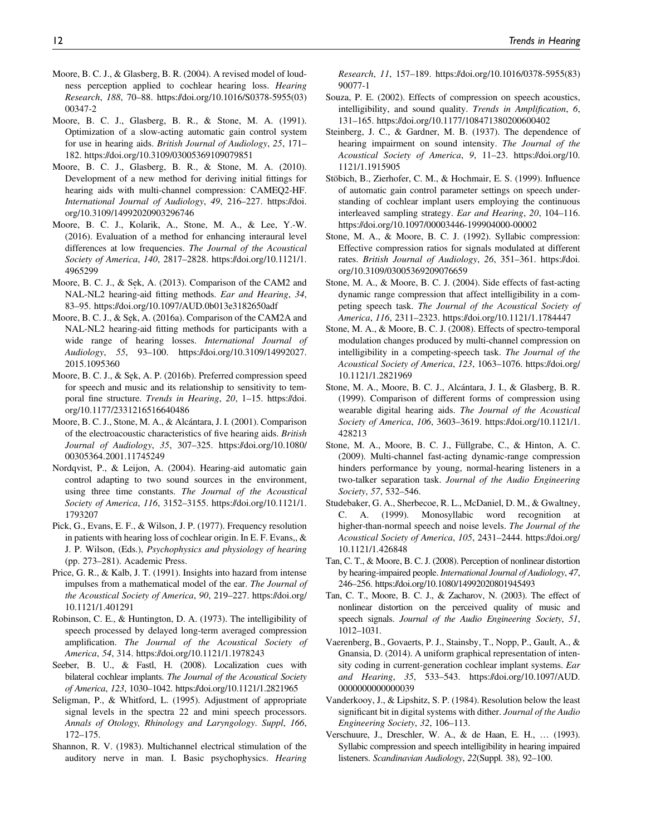- Moore, B. C. J., & Glasberg, B. R. (2004). A revised model of loudness perception applied to cochlear hearing loss. Hearing Research, 188, 70–88. [https://doi.org/10.1016/S0378-5955\(03\)](https://doi.org/10.1016/S0378-5955(03)00347-2) [00347-2](https://doi.org/10.1016/S0378-5955(03)00347-2)
- Moore, B. C. J., Glasberg, B. R., & Stone, M. A. (1991). Optimization of a slow-acting automatic gain control system for use in hearing aids. British Journal of Audiology, 25, 171– 182.<https://doi.org/10.3109/03005369109079851>
- Moore, B. C. J., Glasberg, B. R., & Stone, M. A. (2010). Development of a new method for deriving initial fittings for hearing aids with multi-channel compression: CAMEQ2-HF. International Journal of Audiology, 49, 216–227. [https://doi.](https://doi.org/10.3109/14992020903296746) [org/10.3109/14992020903296746](https://doi.org/10.3109/14992020903296746)
- Moore, B. C. J., Kolarik, A., Stone, M. A., & Lee, Y.-W. (2016). Evaluation of a method for enhancing interaural level differences at low frequencies. The Journal of the Acoustical Society of America, 140, 2817–2828. [https://doi.org/10.1121/1.](https://doi.org/10.1121/1.4965299) [4965299](https://doi.org/10.1121/1.4965299)
- Moore, B. C. J., & Sek, A. (2013). Comparison of the CAM2 and NAL-NL2 hearing-aid fitting methods. Ear and Hearing, 34, 83–95.<https://doi.org/10.1097/AUD.0b013e3182650adf>
- Moore, B. C. J., & Sek, A. (2016a). Comparison of the CAM2A and NAL-NL2 hearing-aid fitting methods for participants with a wide range of hearing losses. International Journal of Audiology, 55, 93–100. [https://doi.org/10.3109/14992027.](https://doi.org/10.3109/14992027.2015.1095360) [2015.1095360](https://doi.org/10.3109/14992027.2015.1095360)
- Moore, B. C. J., & Sek, A. P. (2016b). Preferred compression speed for speech and music and its relationship to sensitivity to temporal fine structure. Trends in Hearing, 20, 1–15. [https://doi.](https://doi.org/10.1177/2331216516640486) [org/10.1177/2331216516640486](https://doi.org/10.1177/2331216516640486)
- Moore, B. C. J., Stone, M. A., & Alcántara, J. I. (2001). Comparison of the electroacoustic characteristics of five hearing aids. British Journal of Audiology, 35, 307–325. [https://doi.org/10.1080/](https://doi.org/10.1080/00305364.2001.11745249) [00305364.2001.11745249](https://doi.org/10.1080/00305364.2001.11745249)
- Nordqvist, P., & Leijon, A. (2004). Hearing-aid automatic gain control adapting to two sound sources in the environment, using three time constants. The Journal of the Acoustical Society of America, 116, 3152–3155. [https://doi.org/10.1121/1.](https://doi.org/10.1121/1.1793207) [1793207](https://doi.org/10.1121/1.1793207)
- Pick, G., Evans, E. F., & Wilson, J. P. (1977). Frequency resolution in patients with hearing loss of cochlear origin. In E. F. Evans,, & J. P. Wilson, (Eds.), Psychophysics and physiology of hearing (pp. 273–281). Academic Press.
- Price, G. R., & Kalb, J. T. (1991). Insights into hazard from intense impulses from a mathematical model of the ear. The Journal of the Acoustical Society of America, 90, 219–227. [https://doi.org/](https://doi.org/10.1121/1.401291) [10.1121/1.401291](https://doi.org/10.1121/1.401291)
- Robinson, C. E., & Huntington, D. A. (1973). The intelligibility of speech processed by delayed long-term averaged compression amplification. The Journal of the Acoustical Society of America, 54, 314.<https://doi.org/10.1121/1.1978243>
- Seeber, B. U., & Fastl, H. (2008). Localization cues with bilateral cochlear implants. The Journal of the Acoustical Society of America, 123, 1030–1042.<https://doi.org/10.1121/1.2821965>
- Seligman, P., & Whitford, L. (1995). Adjustment of appropriate signal levels in the spectra 22 and mini speech processors. Annals of Otology, Rhinology and Laryngology. Suppl, 166, 172–175.
- Shannon, R. V. (1983). Multichannel electrical stimulation of the auditory nerve in man. I. Basic psychophysics. Hearing

Research, 11, 157–189. [https://doi.org/10.1016/0378-5955\(83\)](https://doi.org/10.1016/0378-5955(83)90077-1) [90077-1](https://doi.org/10.1016/0378-5955(83)90077-1)

- Souza, P. E. (2002). Effects of compression on speech acoustics, intelligibility, and sound quality. Trends in Amplification, 6, 131–165.<https://doi.org/10.1177/108471380200600402>
- Steinberg, J. C., & Gardner, M. B. (1937). The dependence of hearing impairment on sound intensity. The Journal of the Acoustical Society of America, 9, 11–23. [https://doi.org/10.](https://doi.org/10.1121/1.1915905) [1121/1.1915905](https://doi.org/10.1121/1.1915905)
- Stöbich, B., Zierhofer, C. M., & Hochmair, E. S. (1999). Influence of automatic gain control parameter settings on speech understanding of cochlear implant users employing the continuous interleaved sampling strategy. Ear and Hearing, 20, 104–116. <https://doi.org/10.1097/00003446-199904000-00002>
- Stone, M. A., & Moore, B. C. J. (1992). Syllabic compression: Effective compression ratios for signals modulated at different rates. British Journal of Audiology, 26, 351–361. [https://doi.](https://doi.org/10.3109/03005369209076659) [org/10.3109/03005369209076659](https://doi.org/10.3109/03005369209076659)
- Stone, M. A., & Moore, B. C. J. (2004). Side effects of fast-acting dynamic range compression that affect intelligibility in a competing speech task. The Journal of the Acoustical Society of America, 116, 2311–2323.<https://doi.org/10.1121/1.1784447>
- Stone, M. A., & Moore, B. C. J. (2008). Effects of spectro-temporal modulation changes produced by multi-channel compression on intelligibility in a competing-speech task. The Journal of the Acoustical Society of America, 123, 1063–1076. [https://doi.org/](https://doi.org/10.1121/1.2821969) [10.1121/1.2821969](https://doi.org/10.1121/1.2821969)
- Stone, M. A., Moore, B. C. J., Alcántara, J. I., & Glasberg, B. R. (1999). Comparison of different forms of compression using wearable digital hearing aids. The Journal of the Acoustical Society of America, 106, 3603–3619. [https://doi.org/10.1121/1.](https://doi.org/10.1121/1.428213) [428213](https://doi.org/10.1121/1.428213)
- Stone, M. A., Moore, B. C. J., Füllgrabe, C., & Hinton, A. C. (2009). Multi-channel fast-acting dynamic-range compression hinders performance by young, normal-hearing listeners in a two-talker separation task. Journal of the Audio Engineering Society, 57, 532–546.
- Studebaker, G. A., Sherbecoe, R. L., McDaniel, D. M., & Gwaltney, C. A. (1999). Monosyllabic word recognition at higher-than-normal speech and noise levels. The Journal of the Acoustical Society of America, 105, 2431–2444. [https://doi.org/](https://doi.org/10.1121/1.426848) [10.1121/1.426848](https://doi.org/10.1121/1.426848)
- Tan, C. T., & Moore, B. C. J. (2008). Perception of nonlinear distortion by hearing-impaired people. International Journal of Audiology, 47, 246–256.<https://doi.org/10.1080/14992020801945493>
- Tan, C. T., Moore, B. C. J., & Zacharov, N. (2003). The effect of nonlinear distortion on the perceived quality of music and speech signals. Journal of the Audio Engineering Society, 51, 1012–1031.
- Vaerenberg, B., Govaerts, P. J., Stainsby, T., Nopp, P., Gault, A., & Gnansia, D. (2014). A uniform graphical representation of intensity coding in current-generation cochlear implant systems. Ear and Hearing, 35, 533–543. [https://doi.org/10.1097/AUD.](https://doi.org/10.1097/AUD.0000000000000039) [0000000000000039](https://doi.org/10.1097/AUD.0000000000000039)
- Vanderkooy, J., & Lipshitz, S. P. (1984). Resolution below the least significant bit in digital systems with dither. Journal of the Audio Engineering Society, 32, 106–113.
- Verschuure, J., Dreschler, W. A., & de Haan, E. H., … (1993). Syllabic compression and speech intelligibility in hearing impaired listeners. Scandinavian Audiology, 22(Suppl. 38), 92–100.